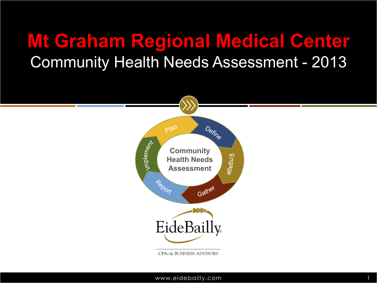### **Mt Graham Regional Medical Center** Community Health Needs Assessment - 2013

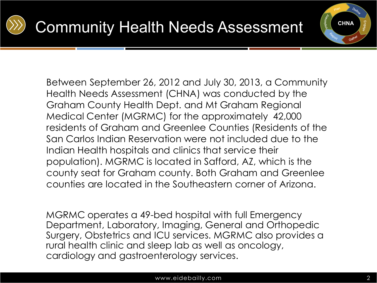

Between September 26, 2012 and July 30, 2013, a Community Health Needs Assessment (CHNA) was conducted by the Graham County Health Dept. and Mt Graham Regional Medical Center (MGRMC) for the approximately 42,000 residents of Graham and Greenlee Counties (Residents of the San Carlos Indian Reservation were not included due to the Indian Health hospitals and clinics that service their population). MGRMC is located in Safford, AZ, which is the county seat for Graham county. Both Graham and Greenlee counties are located in the Southeastern corner of Arizona.

MGRMC operates a 49-bed hospital with full Emergency Department, Laboratory, Imaging, General and Orthopedic Surgery, Obstetrics and ICU services. MGRMC also provides a rural health clinic and sleep lab as well as oncology, cardiology and gastroenterology services.

**CHNA**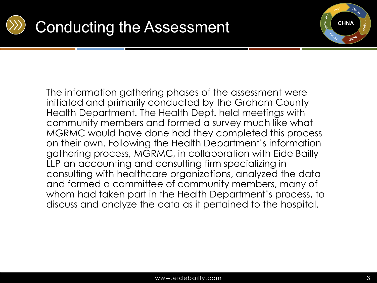



The information gathering phases of the assessment were initiated and primarily conducted by the Graham County Health Department. The Health Dept. held meetings with community members and formed a survey much like what MGRMC would have done had they completed this process on their own. Following the Health Department's information gathering process, MGRMC, in collaboration with Eide Bailly LLP an accounting and consulting firm specializing in consulting with healthcare organizations, analyzed the data and formed a committee of community members, many of whom had taken part in the Health Department's process, to discuss and analyze the data as it pertained to the hospital.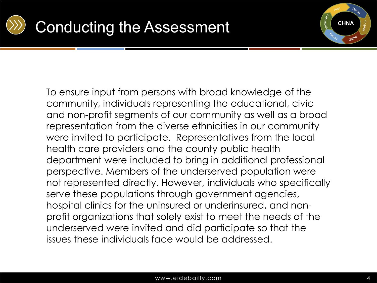



To ensure input from persons with broad knowledge of the community, individuals representing the educational, civic and non-profit segments of our community as well as a broad representation from the diverse ethnicities in our community were invited to participate. Representatives from the local health care providers and the county public health department were included to bring in additional professional perspective. Members of the underserved population were not represented directly. However, individuals who specifically serve these populations through government agencies, hospital clinics for the uninsured or underinsured, and nonprofit organizations that solely exist to meet the needs of the underserved were invited and did participate so that the issues these individuals face would be addressed.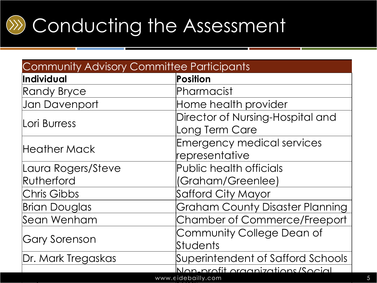

### **Example 20 Conducting the Assessment**

| Community Advisory Committee Participants |                                                               |  |
|-------------------------------------------|---------------------------------------------------------------|--|
| Individual                                | Position                                                      |  |
| <b>Randy Bryce</b>                        | Pharmacist                                                    |  |
| Jan Davenport                             | Home health provider                                          |  |
| Lori Burress                              | Director of Nursing-Hospital and<br>Long Term Care            |  |
| Heather Mack                              | <b>Emergency medical services</b><br>representative           |  |
| Laura Rogers/Steve                        | Public health officials                                       |  |
| Rutherford                                | (Graham/Greenlee)                                             |  |
| Chris Gibbs                               | Safford City Mayor                                            |  |
| <b>Brian Douglas</b>                      | <b>Graham County Disaster Planning</b>                        |  |
| Sean Wenham                               | Chamber of Commerce/Freeport                                  |  |
| <b>Gary Sorenson</b>                      | Community College Dean of<br>Students                         |  |
| Dr. Mark Tregaskas                        | Superintendent of Safford Schools                             |  |
|                                           | <u> Non-profit organizations/Social</u><br>www.eidebailly.com |  |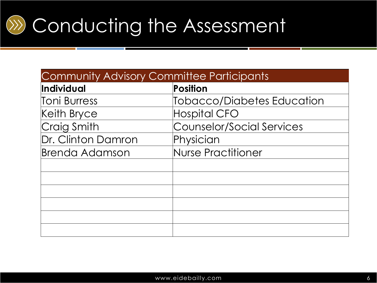

| Community Advisory Committee Participants |                            |
|-------------------------------------------|----------------------------|
| Individual                                | Position                   |
| <b>Toni Burress</b>                       | Tobacco/Diabetes Education |
| Keith Bryce                               | <b>Hospital CFO</b>        |
| Craig Smith                               | Counselor/Social Services  |
| Dr. Clinton Damron                        | Physician                  |
| Brenda Adamson                            | <b>Nurse Practitioner</b>  |
|                                           |                            |
|                                           |                            |
|                                           |                            |
|                                           |                            |
|                                           |                            |
|                                           |                            |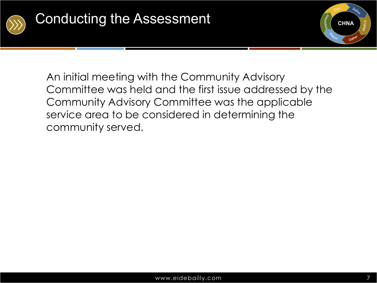



An initial meeting with the Community Advisory Committee was held and the first issue addressed by the Community Advisory Committee was the applicable service area to be considered in determining the community served.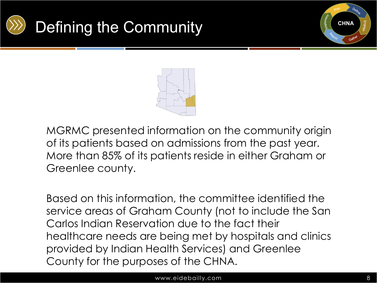

### Defining the Community



MGRMC presented information on the community origin of its patients based on admissions from the past year. More than 85% of its patients reside in either Graham or Greenlee county.

Based on this information, the committee identified the service areas of Graham County (not to include the San Carlos Indian Reservation due to the fact their healthcare needs are being met by hospitals and clinics provided by Indian Health Services) and Greenlee County for the purposes of the CHNA.

**CHNA**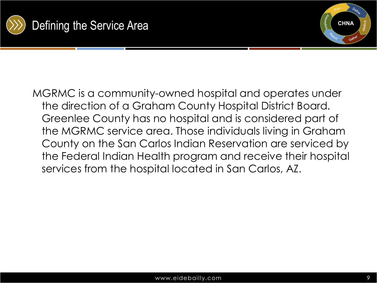



MGRMC is a community-owned hospital and operates under the direction of a Graham County Hospital District Board. Greenlee County has no hospital and is considered part of the MGRMC service area. Those individuals living in Graham County on the San Carlos Indian Reservation are serviced by the Federal Indian Health program and receive their hospital services from the hospital located in San Carlos, AZ.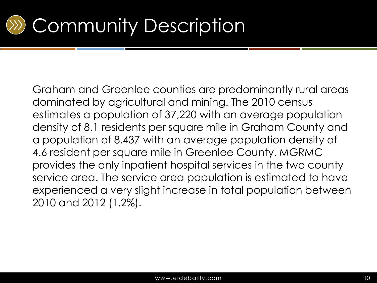# Community Description

Graham and Greenlee counties are predominantly rural areas dominated by agricultural and mining. The 2010 census estimates a population of 37,220 with an average population density of 8.1 residents per square mile in Graham County and a population of 8,437 with an average population density of 4.6 resident per square mile in Greenlee County. MGRMC provides the only inpatient hospital services in the two county service area. The service area population is estimated to have experienced a very slight increase in total population between 2010 and 2012 (1.2%).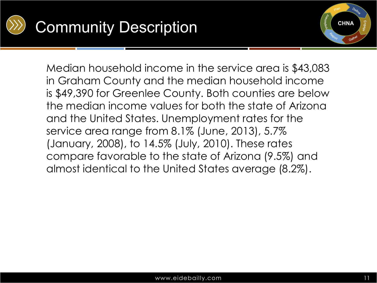



Median household income in the service area is \$43,083 in Graham County and the median household income is \$49,390 for Greenlee County. Both counties are below the median income values for both the state of Arizona and the United States. Unemployment rates for the service area range from 8.1% (June, 2013), 5.7% (January, 2008), to 14.5% (July, 2010). These rates compare favorable to the state of Arizona (9.5%) and almost identical to the United States average (8.2%).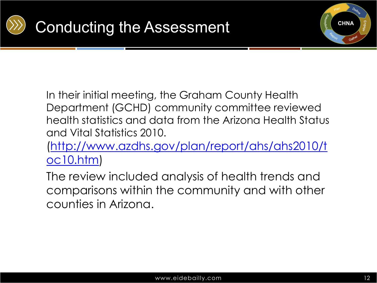



In their initial meeting, the Graham County Health Department (GCHD) community committee reviewed health statistics and data from the Arizona Health Status and Vital Statistics 2010.

[\(http://www.azdhs.gov/plan/report/ahs/ahs2010/t](http://www.azdhs.gov/plan/report/ahs/ahs2010/toc10.htm) oc10.htm)

The review included analysis of health trends and comparisons within the community and with other counties in Arizona.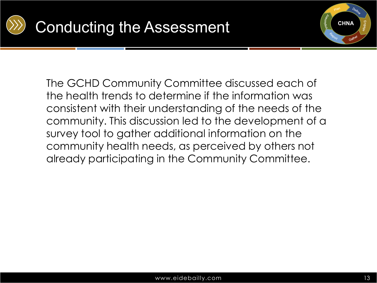



The GCHD Community Committee discussed each of the health trends to determine if the information was consistent with their understanding of the needs of the community. This discussion led to the development of a survey tool to gather additional information on the community health needs, as perceived by others not already participating in the Community Committee.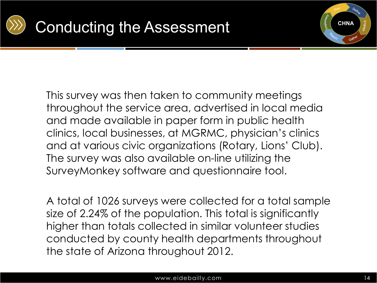



This survey was then taken to community meetings throughout the service area, advertised in local media and made available in paper form in public health clinics, local businesses, at MGRMC, physician's clinics and at various civic organizations (Rotary, Lions' Club). The survey was also available on-line utilizing the SurveyMonkey software and questionnaire tool.

A total of 1026 surveys were collected for a total sample size of 2.24% of the population. This total is significantly higher than totals collected in similar volunteer studies conducted by county health departments throughout the state of Arizona throughout 2012.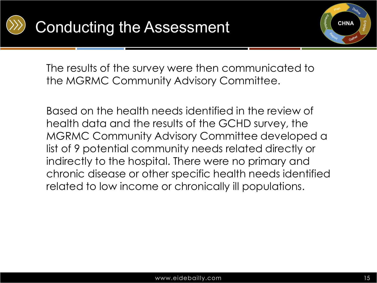



The results of the survey were then communicated to the MGRMC Community Advisory Committee.

Based on the health needs identified in the review of health data and the results of the GCHD survey, the MGRMC Community Advisory Committee developed a list of 9 potential community needs related directly or indirectly to the hospital. There were no primary and chronic disease or other specific health needs identified related to low income or chronically ill populations.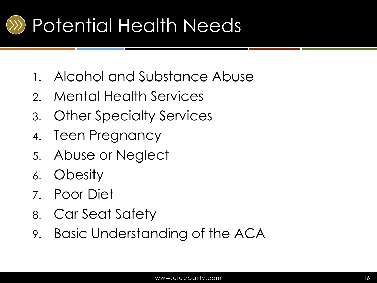## Potential Health Needs

- 1. Alcohol and Substance Abuse
- 2. Mental Health Services
- 3. Other Specialty Services
- 4. Teen Pregnancy
- 5. Abuse or Neglect
- 6. Obesity
- 7. Poor Diet
- 8. Car Seat Safety
- 9. Basic Understanding of the ACA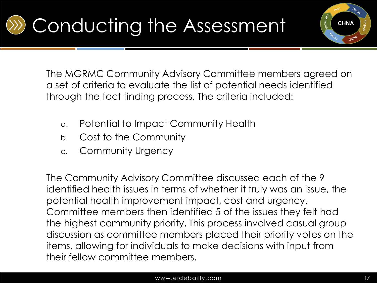The MGRMC Community Advisory Committee members agreed on a set of criteria to evaluate the list of potential needs identified through the fact finding process. The criteria included:

- a. Potential to Impact Community Health
- b. Cost to the Community
- c. Community Urgency

The Community Advisory Committee discussed each of the 9 identified health issues in terms of whether it truly was an issue, the potential health improvement impact, cost and urgency. Committee members then identified 5 of the issues they felt had the highest community priority. This process involved casual group discussion as committee members placed their priority votes on the items, allowing for individuals to make decisions with input from their fellow committee members.

**CHNA**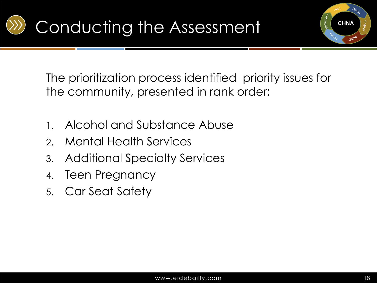



The prioritization process identified priority issues for the community, presented in rank order:

- 1. Alcohol and Substance Abuse
- 2. Mental Health Services
- 3. Additional Specialty Services
- 4. Teen Pregnancy
- 5. Car Seat Safety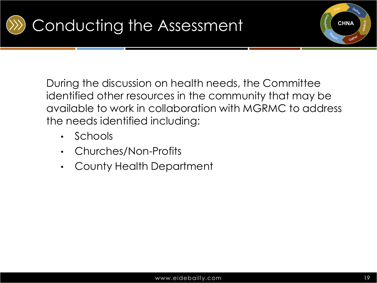



During the discussion on health needs, the Committee identified other resources in the community that may be available to work in collaboration with MGRMC to address the needs identified including:

- Schools
- Churches/Non-Profits
- County Health Department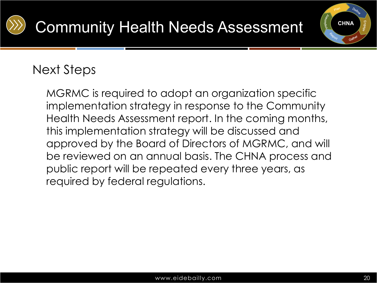

#### Next Steps

MGRMC is required to adopt an organization specific implementation strategy in response to the Community Health Needs Assessment report. In the coming months, this implementation strategy will be discussed and approved by the Board of Directors of MGRMC, and will be reviewed on an annual basis. The CHNA process and public report will be repeated every three years, as required by federal regulations.

**CHNA**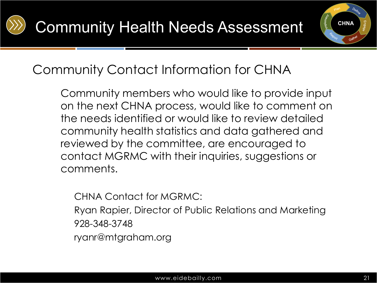



#### Community Contact Information for CHNA

Community members who would like to provide input on the next CHNA process, would like to comment on the needs identified or would like to review detailed community health statistics and data gathered and reviewed by the committee, are encouraged to contact MGRMC with their inquiries, suggestions or comments.

CHNA Contact for MGRMC: Ryan Rapier, Director of Public Relations and Marketing 928-348-3748 ryanr@mtgraham.org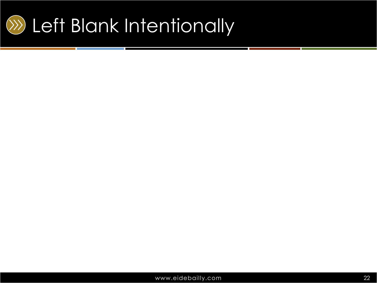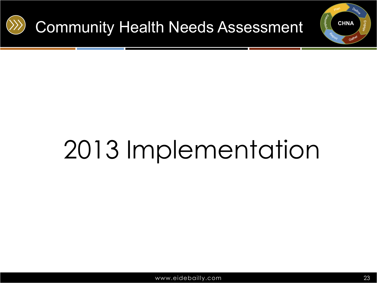

# 2013 Implementation



**CHNA**

Define

Gather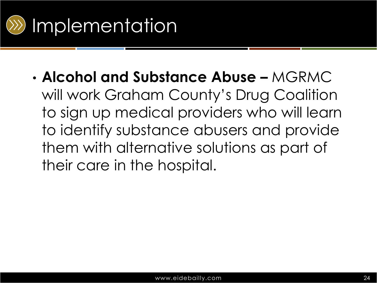

• **Alcohol and Substance Abuse –** MGRMC will work Graham County's Drug Coalition to sign up medical providers who will learn to identify substance abusers and provide them with alternative solutions as part of their care in the hospital.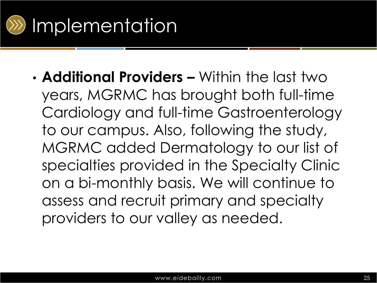

• **Additional Providers –** Within the last two years, MGRMC has brought both full-time Cardiology and full-time Gastroenterology to our campus. Also, following the study, MGRMC added Dermatology to our list of specialties provided in the Specialty Clinic on a bi-monthly basis. We will continue to assess and recruit primary and specialty providers to our valley as needed.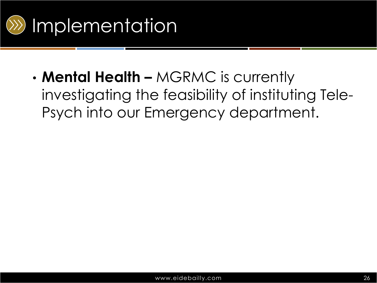

• **Mental Health –** MGRMC is currently investigating the feasibility of instituting Tele-Psych into our Emergency department.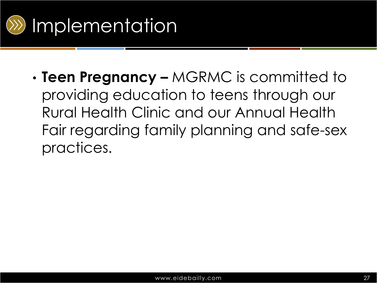

• **Teen Pregnancy –** MGRMC is committed to providing education to teens through our Rural Health Clinic and our Annual Health Fair regarding family planning and safe-sex practices.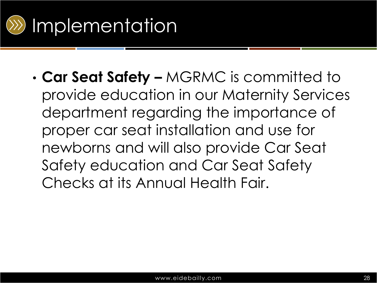

• **Car Seat Safety –** MGRMC is committed to provide education in our Maternity Services department regarding the importance of proper car seat installation and use for newborns and will also provide Car Seat Safety education and Car Seat Safety Checks at its Annual Health Fair.